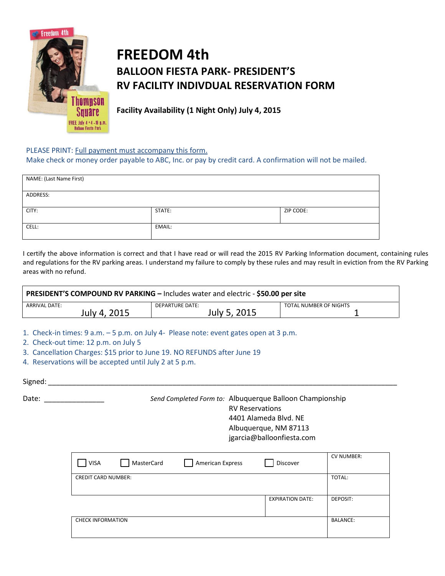

## **FREEDOM 4th BALLOON FIESTA PARK- PRESIDENT'S RV FACILITY INDIVDUAL RESERVATION FORM**

**Facility Availability (1 Night Only) July 4, 2015**

## PLEASE PRINT: Full payment must accompany this form.

Make check or money order payable to ABC, Inc. or pay by credit card. A confirmation will not be mailed.

| NAME: (Last Name First) |        |           |  |  |  |
|-------------------------|--------|-----------|--|--|--|
| ADDRESS:                |        |           |  |  |  |
| CITY:                   | STATE: | ZIP CODE: |  |  |  |
| CELL:                   | EMAIL: |           |  |  |  |

I certify the above information is correct and that I have read or will read the 2015 RV Parking Information document, containing rules and regulations for the RV parking areas. I understand my failure to comply by these rules and may result in eviction from the RV Parking areas with no refund.

| PRESIDENT'S COMPOUND RV PARKING - Includes water and electric - \$50.00 per site |                 |                        |  |  |  |
|----------------------------------------------------------------------------------|-----------------|------------------------|--|--|--|
| ARRIVAL DATE:                                                                    | DEPARTURE DATE: | TOTAL NUMBER OF NIGHTS |  |  |  |
| July 4, 2015                                                                     | July 5, 2015    |                        |  |  |  |

1. Check-in times: 9 a.m. – 5 p.m. on July 4- Please note: event gates open at 3 p.m.

- 2. Check-out time: 12 p.m. on July 5
- 3. Cancellation Charges: \$15 prior to June 19. NO REFUNDS after June 19
- 4. Reservations will be accepted until July 2 at 5 p.m.

Signed:  $\Box$ 

Date: \_\_\_\_\_\_\_\_\_\_\_\_\_\_\_ *Send Completed Form to:* Albuquerque Balloon Championship RV Reservations 4401 Alameda Blvd. NE Albuquerque, NM 87113 jgarcia@balloonfiesta.com

| <b>VISA</b>                | MasterCard | <b>American Express</b> | Discover                | <b>CV NUMBER:</b> |
|----------------------------|------------|-------------------------|-------------------------|-------------------|
| <b>CREDIT CARD NUMBER:</b> |            |                         |                         | TOTAL:            |
|                            |            |                         | <b>EXPIRATION DATE:</b> | DEPOSIT:          |
| <b>CHECK INFORMATION</b>   |            |                         |                         | <b>BALANCE:</b>   |